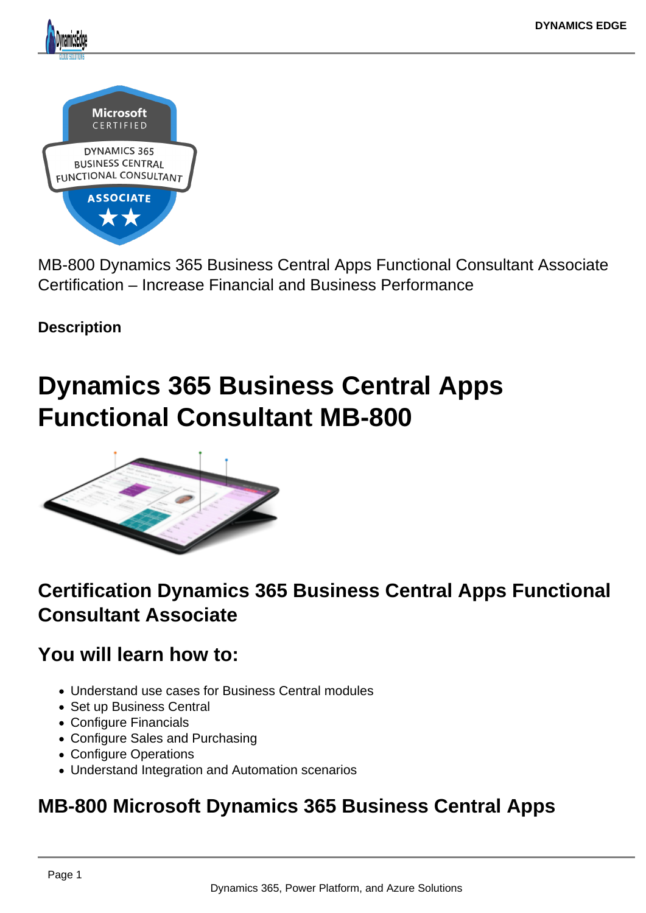MB-800 Dynamics 365 Business Central Apps Functional Consultant Associate Certification – Increase Financial and Business Performance

**Description** 

# Dynamics 365 Business Central Apps Functional Consultant MB-800

# Certification Dynamics 365 Business Central Apps Functional Consultant Associate

You will learn how to:

- Understand use cases for Business Central modules
- Set up Business Central
- Configure Financials
- Configure Sales and Purchasing
- Configure Operations
- Understand Integration and Automation scenarios

# MB-800 Microsoft Dynamics 365 Business Central Apps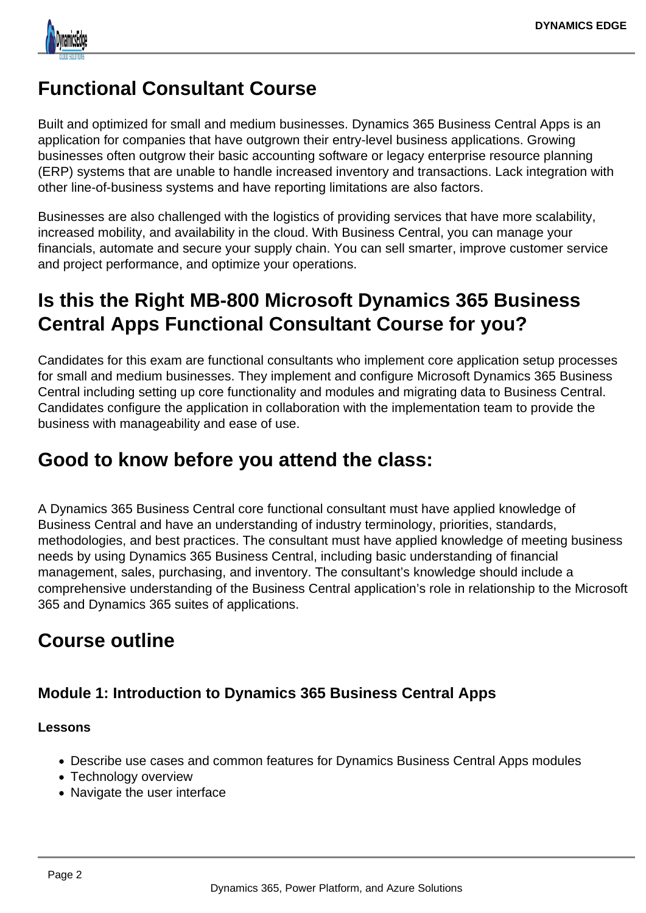

# **Functional Consultant Course**

Built and optimized for small and medium businesses. Dynamics 365 Business Central Apps is an application for companies that have outgrown their entry-level business applications. Growing businesses often outgrow their basic accounting software or legacy enterprise resource planning (ERP) systems that are unable to handle increased inventory and transactions. Lack integration with other line-of-business systems and have reporting limitations are also factors.

Businesses are also challenged with the logistics of providing services that have more scalability, increased mobility, and availability in the cloud. With Business Central, you can manage your financials, automate and secure your supply chain. You can sell smarter, improve customer service and project performance, and optimize your operations.

# **Is this the Right MB-800 Microsoft Dynamics 365 Business Central Apps Functional Consultant Course for you?**

Candidates for this exam are functional consultants who implement core application setup processes for small and medium businesses. They implement and configure Microsoft Dynamics 365 Business Central including setting up core functionality and modules and migrating data to Business Central. Candidates configure the application in collaboration with the implementation team to provide the business with manageability and ease of use.

# **Good to know before you attend the class:**

A Dynamics 365 Business Central core functional consultant must have applied knowledge of Business Central and have an understanding of industry terminology, priorities, standards, methodologies, and best practices. The consultant must have applied knowledge of meeting business needs by using Dynamics 365 Business Central, including basic understanding of financial management, sales, purchasing, and inventory. The consultant's knowledge should include a comprehensive understanding of the Business Central application's role in relationship to the Microsoft 365 and Dynamics 365 suites of applications.

# **Course outline**

### **Module 1: Introduction to Dynamics 365 Business Central Apps**

#### **Lessons**

- Describe use cases and common features for Dynamics Business Central Apps modules
- Technology overview
- Navigate the user interface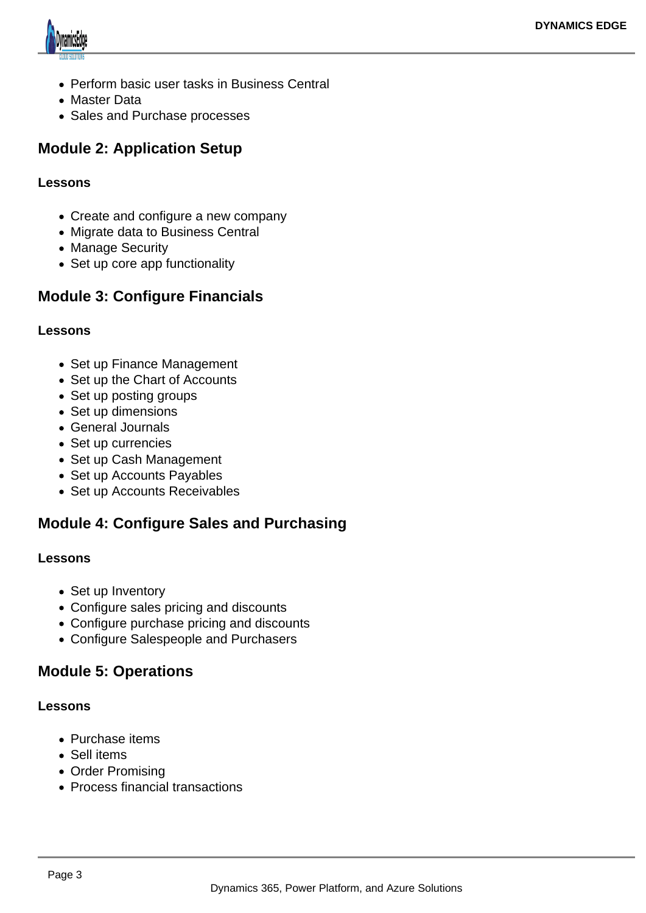

- Perform basic user tasks in Business Central
- Master Data
- Sales and Purchase processes

### **Module 2: Application Setup**

#### **Lessons**

- Create and configure a new company
- Migrate data to Business Central
- Manage Security
- Set up core app functionality

### **Module 3: Configure Financials**

#### **Lessons**

- Set up Finance Management
- Set up the Chart of Accounts
- Set up posting groups
- Set up dimensions
- General Journals
- Set up currencies
- Set up Cash Management
- Set up Accounts Payables
- Set up Accounts Receivables

### **Module 4: Configure Sales and Purchasing**

#### **Lessons**

- Set up Inventory
- Configure sales pricing and discounts
- Configure purchase pricing and discounts
- Configure Salespeople and Purchasers

### **Module 5: Operations**

#### **Lessons**

- Purchase items
- Sell items
- Order Promising
- Process financial transactions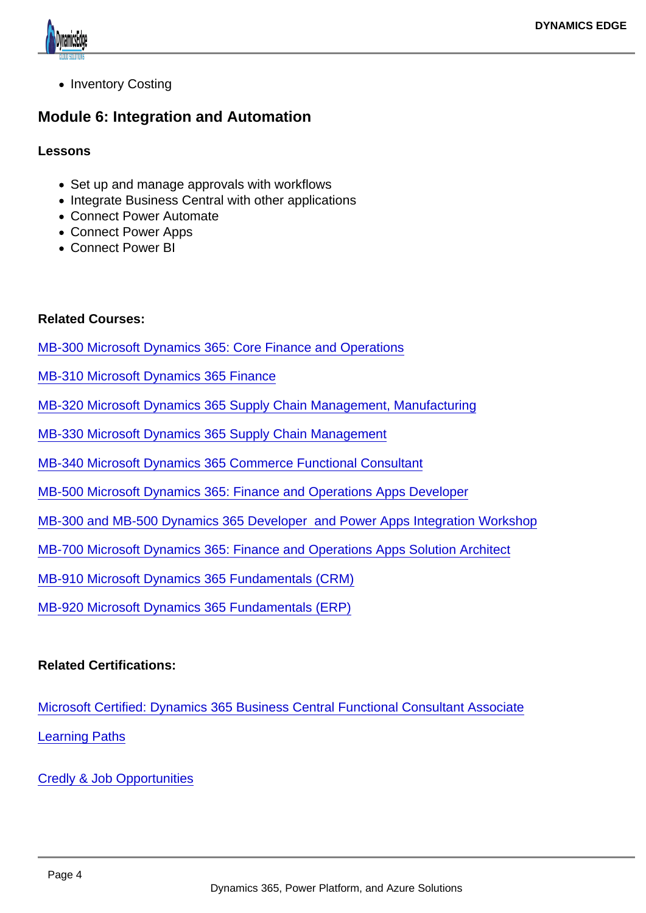• Inventory Costing

Module 6: Integration and Automation

Lessons

- Set up and manage approvals with workflows
- Integrate Business Central with other applications
- Connect Power Automate
- Connect Power Apps
- Connect Power BI

Related Courses:

[MB-300 Microsoft Dynamics 365: Core Finance and Operations](https://www.dynamicsedge.com/product/dynamics-365-finance-supply-chain-and-manufacturing-operations-development-core-technologies-erpmb-300/)

[MB-310 Microsoft Dynamics 365 Finance](https://www.dynamicsedge.com/product/dynamics-365-erp-finance-modules-and-accounting-for-controllers-cfo-finance-mb-310/)

[MB-320 Microsoft Dynamics 365 Supply Chain Management, Manufacturing](https://www.dynamicsedge.com/product/dynamics-365-erp-manufacturing-discrete-process-and-lean-and-supply-chain-mb-320/)

[MB-330 Microsoft Dynamics 365 Supply Chain Management](https://www.dynamicsedge.com/product/dynamics-365-erp-supply-chain-management-and-certification-mb-330/)

[MB-340 Microsoft Dynamics 365 Commerce Functional Consultant](https://www.dynamicsedge.com/product/microsoft-dynamics-365-commerce-functional-consultant-mb-340/)

[MB-500 Microsoft Dynamics 365: Finance and Operations Apps Developer](https://www.dynamicsedge.com/product/mb-500-dynamics-365-erp-finance-operations-developer-x-apps-developer/)

[MB-300 and MB-500 Dynamics 365 Developer and Power Apps Integration Workshop](https://www.dynamicsedge.com/product/mb-300-d365-developer-mb-500-power-apps-integration-workshop/)

[MB-700 Microsoft Dynamics 365: Finance and Operations Apps Solution Architect](https://www.dynamicsedge.com/product/mb-700-dynamics-365-erp-finance-operations-solution-architect-app-developer/)

[MB-910 Microsoft Dynamics 365 Fundamentals \(CRM\)](https://www.dynamicsedge.com/product/mb-910-microsoft-certified-dynamics-365-fundamentals-crm/)

[MB-920 Microsoft Dynamics 365 Fundamentals \(ERP\)](https://www.dynamicsedge.com/product/dynamics-365-fundamentals-finance-supply-chain-distribution-and-manufacturing-apps-erp-mb-920/)

Related Certifications:

[Microsoft Certified: Dynamics 365 Business Central Functional Consultant Associate](https://docs.microsoft.com/en-us/learn/certifications/d365-business-central-functional-consultant-associate/) [Learning Paths](https://docs.microsoft.com/en-us/learn/paths/get-started-dynamics-365-business-central/)

[Credly & Job Opportunities](https://www.credly.com/org/microsoft-certification/badge/microsoft-certified-dynamics-365-business-central-functional-consultant-associate)